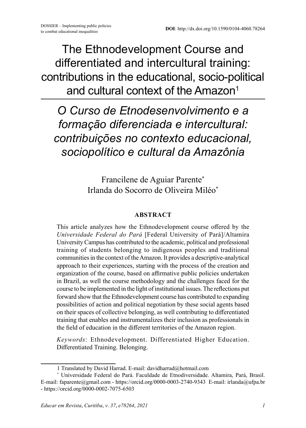The Ethnodevelopment Course and differentiated and intercultural training: contributions in the educational, socio-political and cultural context of the Amazon<sup>1</sup>

*O Curso de Etnodesenvolvimento e a formação diferenciada e intercultural: contribuições no contexto educacional, sociopolítico e cultural da Amazônia*

> Francilene de Aguiar Parente\* Irlanda do Socorro de Oliveira Miléo\*

#### **ABSTRACT**

This article analyzes how the Ethnodevelopment course offered by the *Universidade Federal do Pará* [Federal University of Pará]/Altamira University Campus has contributed to the academic, political and professional training of students belonging to indigenous peoples and traditional communities in the context of the Amazon. It provides a descriptive-analytical approach to their experiences, starting with the process of the creation and organization of the course, based on affirmative public policies undertaken in Brazil, as well the course methodology and the challenges faced for the course to be implemented in the light of institutional issues. The reflections put forward show that the Ethnodevelopment course has contributed to expanding possibilities of action and political negotiation by these social agents based on their spaces of collective belonging, as well contributing to differentiated training that enables and instrumentalizes their inclusion as professionals in the field of education in the different territories of the Amazon region.

*Keywords*: Ethnodevelopment. Differentiated Higher Education. Differentiated Training. Belonging.

<sup>1</sup> Translated by David Harrad. E-mail: davidharrad@hotmail.com

<sup>\*</sup> Universidade Federal do Pará. Faculdade de Etnodiversidade. Altamira, Pará, Brasil. E-mail: faparente@gmail.com - https://orcid.org/0000-0003-2740-9343 E-mail: irlanda@ufpa.br - https://orcid.org/0000-0002-7075-6503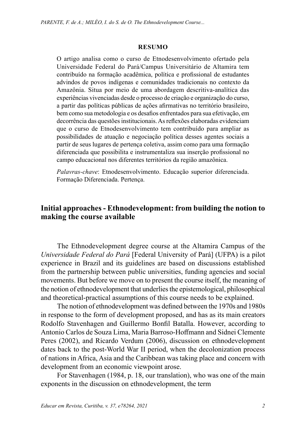#### **RESUMO**

O artigo analisa como o curso de Etnodesenvolvimento ofertado pela Universidade Federal do Pará/Campus Universitário de Altamira tem contribuído na formação acadêmica, política e profissional de estudantes advindos de povos indígenas e comunidades tradicionais no contexto da Amazônia. Situa por meio de uma abordagem descritiva-analítica das experiências vivenciadas desde o processo de criação e organização do curso, a partir das políticas públicas de ações afirmativas no território brasileiro, bem como sua metodologia e os desafios enfrentados para sua efetivação, em decorrência das questões institucionais. As reflexões elaboradas evidenciam que o curso de Etnodesenvolvimento tem contribuído para ampliar as possibilidades de atuação e negociação política desses agentes sociais a partir de seus lugares de pertença coletiva, assim como para uma formação diferenciada que possibilita e instrumentaliza sua inserção profissional no campo educacional nos diferentes territórios da região amazônica.

*Palavras-chave*: Etnodesenvolvimento. Educação superior diferenciada. Formação Diferenciada. Pertença.

#### **Initial approaches - Ethnodevelopment: from building the notion to making the course available**

The Ethnodevelopment degree course at the Altamira Campus of the *Universidade Federal do Pará* [Federal University of Pará] (UFPA) is a pilot experience in Brazil and its guidelines are based on discussions established from the partnership between public universities, funding agencies and social movements. But before we move on to present the course itself, the meaning of the notion of ethnodevelopment that underlies the epistemological, philosophical and theoretical-practical assumptions of this course needs to be explained.

The notion of ethnodevelopment was defined between the 1970s and 1980s in response to the form of development proposed, and has as its main creators Rodolfo Stavenhagen and Guillermo Bonfil Batalla. However, according to Antonio Carlos de Souza Lima, Maria Barroso-Hoffmann and Sidnei Clemente Peres (2002), and Ricardo Verdum (2006), discussion on ethnodevelopment dates back to the post-World War II period, when the decolonization process of nations in Africa, Asia and the Caribbean was taking place and concern with development from an economic viewpoint arose.

For Stavenhagen (1984, p. 18, our translation), who was one of the main exponents in the discussion on ethnodevelopment, the term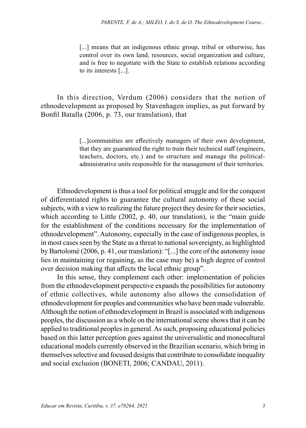[...] means that an indigenous ethnic group, tribal or otherwise, has control over its own land, resources, social organization and culture, and is free to negotiate with the State to establish relations according to its interests [...].

In this direction, Verdum (2006) considers that the notion of ethnodevelopment as proposed by Stavenhagen implies, as put forward by Bonfil Batalla (2006, p. 73, our translation), that

> [...] communities are effectively managers of their own development, that they are guaranteed the right to train their technical staff (engineers, teachers, doctors, etc.) and to structure and manage the politicaladministrative units responsible for the management of their territories.

Ethnodevelopment is thus a tool for political struggle and for the conquest of differentiated rights to guarantee the cultural autonomy of these social subjects, with a view to realizing the future project they desire for their societies, which according to Little (2002, p. 40, our translation), is the "main guide" for the establishment of the conditions necessary for the implementation of ethnodevelopment". Autonomy, especially in the case of indigenous peoples, is in most cases seen by the State as a threat to national sovereignty, as highlighted by Bartolomé (2006, p. 41, our translation): "[...] the core of the autonomy issue lies in maintaining (or regaining, as the case may be) a high degree of control over decision making that affects the local ethnic group".

In this sense, they complement each other: implementation of policies from the ethnodevelopment perspective expands the possibilities for autonomy of ethnic collectives, while autonomy also allows the consolidation of ethnodevelopment for peoples and communities who have been made vulnerable. Although the notion of ethnodevelopment in Brazil is associated with indigenous peoples, the discussion as a whole on the international scene shows that it can be applied to traditional peoples in general. As such, proposing educational policies based on this latter perception goes against the universalistic and monocultural educational models currently observed in the Brazilian scenario, which bring in themselves selective and focused designs that contribute to consolidate inequality and social exclusion (BONETI, 2006; CANDAU, 2011).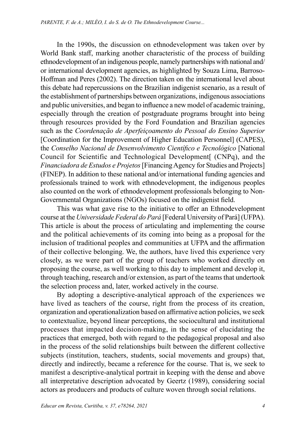In the 1990s, the discussion on ethnodevelopment was taken over by World Bank staff, marking another characteristic of the process of building ethnodevelopment of an indigenous people, namely partnerships with national and/ or international development agencies, as highlighted by Souza Lima, Barroso-Hoffman and Peres (2002). The direction taken on the international level about this debate had repercussions on the Brazilian indigenist scenario, as a result of the establishment of partnerships between organizations, indigenous associations and public universities, and began to influence a new model of academic training, especially through the creation of postgraduate programs brought into being through resources provided by the Ford Foundation and Brazilian agencies such as the *Coordenação de Aperfeiçoamento do Pessoal do Ensino Superior* [Coordination for the Improvement of Higher Education Personnel] (CAPES), the *Conselho Nacional de Desenvolvimento Científico e Tecnológico* [National Council for Scientific and Technological Development[ (CNPq), and the *Financiadora de Estudos e Projetos* [Financing Agency for Studies and Projects] (FINEP). In addition to these national and/or international funding agencies and professionals trained to work with ethnodevelopment, the indigenous peoples also counted on the work of ethnodevelopment professionals belonging to Non-Governmental Organizations (NGOs) focused on the indigenist field.

This was what gave rise to the initiative to offer an Ethnodevelopment course at the *Universidade Federal do Pará* [Federal University of Pará] (UFPA). This article is about the process of articulating and implementing the course and the political achievements of its coming into being as a proposal for the inclusion of traditional peoples and communities at UFPA and the affirmation of their collective belonging. We, the authors, have lived this experience very closely, as we were part of the group of teachers who worked directly on proposing the course, as well working to this day to implement and develop it, through teaching, research and/or extension, as part of the teams that undertook the selection process and, later, worked actively in the course.

By adopting a descriptive-analytical approach of the experiences we have lived as teachers of the course, right from the process of its creation, organization and operationalization based on affirmative action policies, we seek to contextualize, beyond linear perceptions, the sociocultural and institutional processes that impacted decision-making, in the sense of elucidating the practices that emerged, both with regard to the pedagogical proposal and also in the process of the solid relationships built between the different collective subjects (institution, teachers, students, social movements and groups) that, directly and indirectly, became a reference for the course. That is, we seek to manifest a descriptive-analytical portrait in keeping with the dense and above all interpretative description advocated by Geertz (1989), considering social actors as producers and products of culture woven through social relations.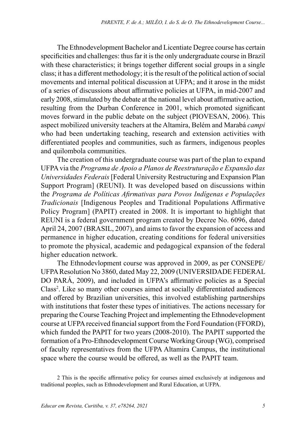The Ethnodevelopment Bachelor and Licentiate Degree course has certain specificities and challenges: thus far it is the only undergraduate course in Brazil with these characteristics; it brings together different social groups in a single class; it has a different methodology; it is the result of the political action of social movements and internal political discussion at UFPA; and it arose in the midst of a series of discussions about affirmative policies at UFPA, in mid-2007 and early 2008, stimulated by the debate at the national level about affirmative action, resulting from the Durban Conference in 2001, which promoted significant moves forward in the public debate on the subject (PIOVESAN, 2006). This aspect mobilized university teachers at the Altamira, Belém and Marabá *campi* who had been undertaking teaching, research and extension activities with differentiated peoples and communities, such as farmers, indigenous peoples and quilombola communities.

The creation of this undergraduate course was part of the plan to expand UFPA via the *Programa de Apoio a Planos de Reestruturação e Expansão das Universidades Federais* [Federal University Restructuring and Expansion Plan Support Program] (REUNI). It was developed based on discussions within the *Programa de Políticas Afirmativas para Povos Indígenas e Populações Tradicionais* [Indigenous Peoples and Traditional Populations Affirmative Policy Program] (PAPIT) created in 2008. It is important to highlight that REUNI is a federal government program created by Decree No. 6096, dated April 24, 2007 (BRASIL, 2007), and aims to favor the expansion of access and permanence in higher education, creating conditions for federal universities to promote the physical, academic and pedagogical expansion of the federal higher education network.

The Ethnodevlopment course was approved in 2009, as per CONSEPE/ UFPA Resolution No 3860, dated May 22, 2009 (UNIVERSIDADE FEDERAL DO PARÁ, 2009), and included in UFPA's affirmative policies as a Special Class<sup>2</sup>. Like so many other courses aimed at socially differentiated audiences and offered by Brazilian universities, this involved establishing partnerships with institutions that foster these types of initiatives. The actions necessary for preparing the Course Teaching Project and implementing the Ethnodevelopment course at UFPA received financial support from the Ford Foundation (FFORD), which funded the PAPIT for two years (2008-2010). The PAPIT supported the formation of a Pro-Ethnodevelopment Course Working Group (WG), comprised of faculty representatives from the UFPA Altamira Campus, the institutional space where the course would be offered, as well as the PAPIT team.

<sup>2</sup> This is the specific affirmative policy for courses aimed exclusively at indigenous and traditional peoples, such as Ethnodevelopment and Rural Education, at UFPA.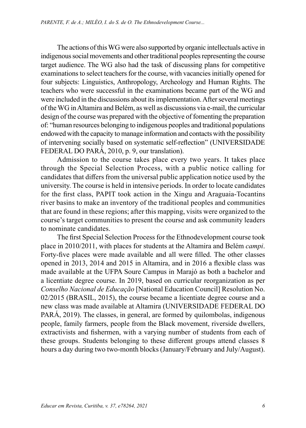The actions of this WG were also supported by organic intellectuals active in indigenous social movements and other traditional peoples representing the course target audience. The WG also had the task of discussing plans for competitive examinations to select teachers for the course, with vacancies initially opened for four subjects: Linguistics, Anthropology, Archeology and Human Rights. The teachers who were successful in the examinations became part of the WG and were included in the discussions about its implementation. After several meetings of the WG in Altamira and Belém, as well as discussions via e-mail, the curricular design of the course was prepared with the objective of fomenting the preparation of: "human resources belonging to indigenous peoples and traditional populations endowed with the capacity to manage information and contacts with the possibility of intervening socially based on systematic self-reflection" (UNIVERSIDADE FEDERAL DO PARÁ, 2010, p. 9, our translation).

Admission to the course takes place every two years. It takes place through the Special Selection Process, with a public notice calling for candidates that differs from the universal public application notice used by the university. The course is held in intensive periods. In order to locate candidates for the first class, PAPIT took action in the Xingu and Araguaia-Tocantins river basins to make an inventory of the traditional peoples and communities that are found in these regions; after this mapping, visits were organized to the course's target communities to present the course and ask community leaders to nominate candidates.

The first Special Selection Process for the Ethnodevelopment course took place in 2010/2011, with places for students at the Altamira and Belém *campi*. Forty-five places were made available and all were filled. The other classes opened in 2013, 2014 and 2015 in Altamira, and in 2016 a flexible class was made available at the UFPA Soure Campus in Marajó as both a bachelor and a licentiate degree course. In 2019, based on curricular reorganization as per *Conselho Nacional de Educação* [National Education Council] Resolution No. 02/2015 (BRASIL, 2015), the course became a licentiate degree course and a new class was made available at Altamira (UNIVERSIDADE FEDERAL DO PARÁ, 2019). The classes, in general, are formed by quilombolas, indigenous people, family farmers, people from the Black movement, riverside dwellers, extractivists and fishermen, with a varying number of students from each of these groups. Students belonging to these different groups attend classes 8 hours a day during two two-month blocks (January/February and July/August).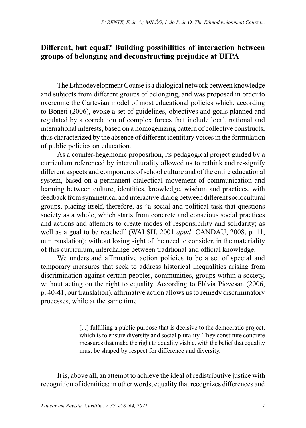#### **Different, but equal? Building possibilities of interaction between groups of belonging and deconstructing prejudice at UFPA**

The Ethnodevelopment Course is a dialogical network between knowledge and subjects from different groups of belonging, and was proposed in order to overcome the Cartesian model of most educational policies which, according to Boneti (2006), evoke a set of guidelines, objectives and goals planned and regulated by a correlation of complex forces that include local, national and international interests, based on a homogenizing pattern of collective constructs, thus characterized by the absence of different identitary voices in the formulation of public policies on education.

As a counter-hegemonic proposition, its pedagogical project guided by a curriculum referenced by interculturality allowed us to rethink and re-signify different aspects and components of school culture and of the entire educational system, based on a permanent dialectical movement of communication and learning between culture, identities, knowledge, wisdom and practices, with feedback from symmetrical and interactive dialog between different sociocultural groups, placing itself, therefore, as "a social and political task that questions society as a whole, which starts from concrete and conscious social practices and actions and attempts to create modes of responsibility and solidarity; as well as a goal to be reached" (WALSH, 2001 *apud* CANDAU, 2008, p. 11, our translation); without losing sight of the need to consider, in the materiality of this curriculum, interchange between traditional and official knowledge.

We understand affirmative action policies to be a set of special and temporary measures that seek to address historical inequalities arising from discrimination against certain peoples, communities, groups within a society, without acting on the right to equality. According to Flávia Piovesan (2006, p. 40-41, our translation), affirmative action allows us to remedy discriminatory processes, while at the same time

> [...] fulfilling a public purpose that is decisive to the democratic project, which is to ensure diversity and social plurality. They constitute concrete measures that make the right to equality viable, with the belief that equality must be shaped by respect for difference and diversity.

It is, above all, an attempt to achieve the ideal of redistributive justice with recognition of identities; in other words, equality that recognizes differences and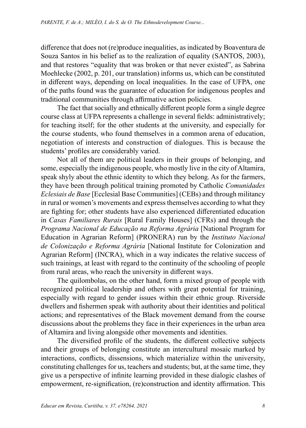difference that does not (re)produce inequalities, as indicated by Boaventura de Souza Santos in his belief as to the realization of equality (SANTOS, 2003), and that restores "equality that was broken or that never existed", as Sabrina Moehlecke (2002, p. 201, our translation) informs us, which can be constituted in different ways, depending on local inequalities. In the case of UFPA, one of the paths found was the guarantee of education for indigenous peoples and traditional communities through affirmative action policies.

The fact that socially and ethnically different people form a single degree course class at UFPA represents a challenge in several fields: administratively; for teaching itself; for the other students at the university, and especially for the course students, who found themselves in a common arena of education, negotiation of interests and construction of dialogues. This is because the students' profiles are considerably varied.

Not all of them are political leaders in their groups of belonging, and some, especially the indigenous people, who mostly live in the city of Altamira, speak shyly about the ethnic identity to which they belong. As for the farmers, they have been through political training promoted by Catholic *Comunidades Eclesiais de Base* [Ecclesial Base Communities] (CEBs) and through militancy in rural or women's movements and express themselves according to what they are fighting for; other students have also experienced differentiated education in *Casas Familiares Rurais* [Rural Family Houses] (CFRs) and through the *Programa Nacional de Educação na Reforma Agrária* [National Program for Education in Agrarian Reform] (PRONERA) run by the *Instituto Nacional de Colonização e Reforma Agrária* [National Institute for Colonization and Agrarian Reform] (INCRA), which in a way indicates the relative success of such trainings, at least with regard to the continuity of the schooling of people from rural areas, who reach the university in different ways.

The quilombolas, on the other hand, form a mixed group of people with recognized political leadership and others with great potential for training, especially with regard to gender issues within their ethnic group. Riverside dwellers and fishermen speak with authority about their identities and political actions; and representatives of the Black movement demand from the course discussions about the problems they face in their experiences in the urban area of Altamira and living alongside other movements and identities.

The diversified profile of the students, the different collective subjects and their groups of belonging constitute an intercultural mosaic marked by interactions, conflicts, dissensions, which materialize within the university, constituting challenges for us, teachers and students; but, at the same time, they give us a perspective of infinite learning provided in these dialogic clashes of empowerment, re-signification, (re)construction and identity affirmation. This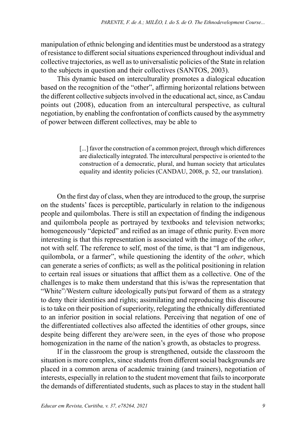manipulation of ethnic belonging and identities must be understood as a strategy of resistance to different social situations experienced throughout individual and collective trajectories, as well as to universalistic policies of the State in relation to the subjects in question and their collectives (SANTOS, 2003).

This dynamic based on interculturality promotes a dialogical education based on the recognition of the "other", affirming horizontal relations between the different collective subjects involved in the educational act, since, as Candau points out (2008), education from an intercultural perspective, as cultural negotiation, by enabling the confrontation of conflicts caused by the asymmetry of power between different collectives, may be able to

> [...] favor the construction of a common project, through which differences are dialectically integrated. The intercultural perspective is oriented to the construction of a democratic, plural, and human society that articulates equality and identity policies (CANDAU, 2008, p. 52, our translation).

On the first day of class, when they are introduced to the group, the surprise on the students' faces is perceptible, particularly in relation to the indigenous people and quilombolas. There is still an expectation of finding the indigenous and quilombola people as portrayed by textbooks and television networks; homogeneously "depicted" and reified as an image of ethnic purity. Even more interesting is that this representation is associated with the image of the *other*, not with self. The reference to self, most of the time, is that "I am indigenous, quilombola, or a farmer", while questioning the identity of the *other*, which can generate a series of conflicts; as well as the political positioning in relation to certain real issues or situations that afflict them as a collective. One of the challenges is to make them understand that this is/was the representation that "White"/Western culture ideologically puts/put forward of them as a strategy to deny their identities and rights; assimilating and reproducing this discourse is to take on their position of superiority, relegating the ethnically differentiated to an inferior position in social relations. Perceiving that negation of one of the differentiated collectives also affected the identities of other groups, since despite being different they are/were seen, in the eyes of those who propose homogenization in the name of the nation's growth, as obstacles to progress.

If in the classroom the group is strengthened, outside the classroom the situation is more complex, since students from different social backgrounds are placed in a common arena of academic training (and trainers), negotiation of interests, especially in relation to the student movement that fails to incorporate the demands of differentiated students, such as places to stay in the student hall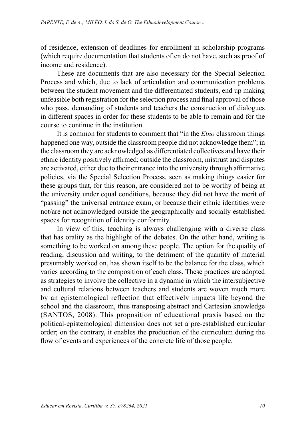of residence, extension of deadlines for enrollment in scholarship programs (which require documentation that students often do not have, such as proof of income and residence).

These are documents that are also necessary for the Special Selection Process and which, due to lack of articulation and communication problems between the student movement and the differentiated students, end up making unfeasible both registration for the selection process and final approval of those who pass, demanding of students and teachers the construction of dialogues in different spaces in order for these students to be able to remain and for the course to continue in the institution.

It is common for students to comment that "in the *Etno* classroom things happened one way, outside the classroom people did not acknowledge them"; in the classroom they are acknowledged as differentiated collectives and have their ethnic identity positively affirmed; outside the classroom, mistrust and disputes are activated, either due to their entrance into the university through affirmative policies, via the Special Selection Process, seen as making things easier for these groups that, for this reason, are considered not to be worthy of being at the university under equal conditions, because they did not have the merit of "passing" the universal entrance exam, or because their ethnic identities were not/are not acknowledged outside the geographically and socially established spaces for recognition of identity conformity.

In view of this, teaching is always challenging with a diverse class that has orality as the highlight of the debates. On the other hand, writing is something to be worked on among these people. The option for the quality of reading, discussion and writing, to the detriment of the quantity of material presumably worked on, has shown itself to be the balance for the class, which varies according to the composition of each class. These practices are adopted as strategies to involve the collective in a dynamic in which the intersubjective and cultural relations between teachers and students are woven much more by an epistemological reflection that effectively impacts life beyond the school and the classroom, thus transposing abstract and Cartesian knowledge (SANTOS, 2008). This proposition of educational praxis based on the political-epistemological dimension does not set a pre-established curricular order; on the contrary, it enables the production of the curriculum during the flow of events and experiences of the concrete life of those people.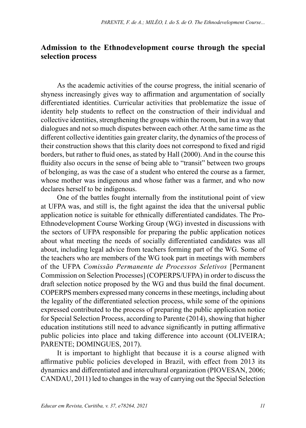### **Admission to the Ethnodevelopment course through the special selection process**

As the academic activities of the course progress, the initial scenario of shyness increasingly gives way to affirmation and argumentation of socially differentiated identities. Curricular activities that problematize the issue of identity help students to reflect on the construction of their individual and collective identities, strengthening the groups within the room, but in a way that dialogues and not so much disputes between each other. At the same time as the different collective identities gain greater clarity, the dynamics of the process of their construction shows that this clarity does not correspond to fixed and rigid borders, but rather to fluid ones, as stated by Hall (2000). And in the course this fluidity also occurs in the sense of being able to "transit" between two groups of belonging, as was the case of a student who entered the course as a farmer, whose mother was indigenous and whose father was a farmer, and who now declares herself to be indigenous.

One of the battles fought internally from the institutional point of view at UFPA was, and still is, the fight against the idea that the universal public application notice is suitable for ethnically differentiated candidates. The Pro-Ethnodevelopment Course Working Group (WG) invested in discussions with the sectors of UFPA responsible for preparing the public application notices about what meeting the needs of socially differentiated candidates was all about, including legal advice from teachers forming part of the WG. Some of the teachers who are members of the WG took part in meetings with members of the UFPA *Comissão Permanente de Processos Seletivos* [Permanent Commission on Selection Processes] (COPERPS/UFPA) in order to discuss the draft selection notice proposed by the WG and thus build the final document. COPERPS members expressed many concerns in these meetings, including about the legality of the differentiated selection process, while some of the opinions expressed contributed to the process of preparing the public application notice for Special Selection Process, according to Parente (2014), showing that higher education institutions still need to advance significantly in putting affirmative public policies into place and taking difference into account (OLIVEIRA; PARENTE; DOMINGUES, 2017).

It is important to highlight that because it is a course aligned with affirmative public policies developed in Brazil, with effect from 2013 its dynamics and differentiated and intercultural organization (PIOVESAN, 2006; CANDAU, 2011) led to changes in the way of carrying out the Special Selection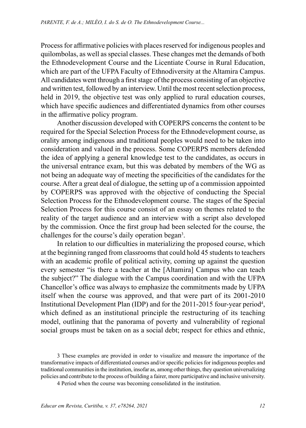Process for affirmative policies with places reserved for indigenous peoples and quilombolas, as well as special classes. These changes met the demands of both the Ethnodevelopment Course and the Licentiate Course in Rural Education, which are part of the UFPA Faculty of Ethnodiversity at the Altamira Campus. All candidates went through a first stage of the process consisting of an objective and written test, followed by an interview. Until the most recent selection process, held in 2019, the objective test was only applied to rural education courses, which have specific audiences and differentiated dynamics from other courses in the affirmative policy program.

Another discussion developed with COPERPS concerns the content to be required for the Special Selection Process for the Ethnodevelopment course, as orality among indigenous and traditional peoples would need to be taken into consideration and valued in the process. Some COPERPS members defended the idea of applying a general knowledge test to the candidates, as occurs in the universal entrance exam, but this was debated by members of the WG as not being an adequate way of meeting the specificities of the candidates for the course. After a great deal of dialogue, the setting up of a commission appointed by COPERPS was approved with the objective of conducting the Special Selection Process for the Ethnodevelopment course. The stages of the Special Selection Process for this course consist of an essay on themes related to the reality of the target audience and an interview with a script also developed by the commission. Once the first group had been selected for the course, the challenges for the course's daily operation began<sup>3</sup>.

In relation to our difficulties in materializing the proposed course, which at the beginning ranged from classrooms that could hold 45 students to teachers with an academic profile of political activity, coming up against the question every semester "is there a teacher at the [Altamira] Campus who can teach the subject?" The dialogue with the Campus coordination and with the UFPA Chancellor's office was always to emphasize the commitments made by UFPA itself when the course was approved, and that were part of its 2001-2010 Institutional Development Plan (IDP) and for the 2011-2015 four-year period<sup>4</sup>, which defined as an institutional principle the restructuring of its teaching model, outlining that the panorama of poverty and vulnerability of regional social groups must be taken on as a social debt; respect for ethics and ethnic,

3 These examples are provided in order to visualize and measure the importance of the transformative impacts of differentiated courses and/or specific policies for indigenous peoples and traditional communities in the institution, insofar as, among other things, they question universalizing policies and contribute to the process of building a fairer, more participative and inclusive university.

4 Period when the course was becoming consolidated in the institution.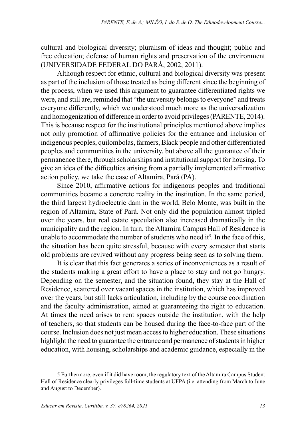cultural and biological diversity; pluralism of ideas and thought; public and free education; defense of human rights and preservation of the environment (UNIVERSIDADE FEDERAL DO PARÁ, 2002, 2011).

Although respect for ethnic, cultural and biological diversity was present as part of the inclusion of those treated as being different since the beginning of the process, when we used this argument to guarantee differentiated rights we were, and still are, reminded that "the university belongs to everyone" and treats everyone differently, which we understood much more as the universalization and homogenization of difference in order to avoid privileges (PARENTE, 2014). This is because respect for the institutional principles mentioned above implies not only promotion of affirmative policies for the entrance and inclusion of indigenous peoples, quilombolas, farmers, Black people and other differentiated peoples and communities in the university, but above all the guarantee of their permanence there, through scholarships and institutional support for housing. To give an idea of the difficulties arising from a partially implemented affirmative action policy, we take the case of Altamira, Pará (PA).

Since 2010, affirmative actions for indigenous peoples and traditional communities became a concrete reality in the institution. In the same period, the third largest hydroelectric dam in the world, Belo Monte, was built in the region of Altamira, State of Pará. Not only did the population almost tripled over the years, but real estate speculation also increased dramatically in the municipality and the region. In turn, the Altamira Campus Hall of Residence is unable to accommodate the number of students who need it<sup>5</sup>. In the face of this, the situation has been quite stressful, because with every semester that starts old problems are revived without any progress being seen as to solving them.

It is clear that this fact generates a series of inconveniences as a result of the students making a great effort to have a place to stay and not go hungry. Depending on the semester, and the situation found, they stay at the Hall of Residence, scattered over vacant spaces in the institution, which has improved over the years, but still lacks articulation, including by the course coordination and the faculty administration, aimed at guaranteeing the right to education. At times the need arises to rent spaces outside the institution, with the help of teachers, so that students can be housed during the face-to-face part of the course. Inclusion does not just mean access to higher education. These situations highlight the need to guarantee the entrance and permanence of students in higher education, with housing, scholarships and academic guidance, especially in the

<sup>5</sup> Furthermore, even if it did have room, the regulatory text of the Altamira Campus Student Hall of Residence clearly privileges full-time students at UFPA (i.e. attending from March to June and August to December).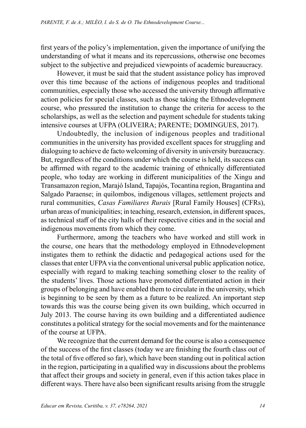first years of the policy's implementation, given the importance of unifying the understanding of what it means and its repercussions, otherwise one becomes subject to the subjective and prejudiced viewpoints of academic bureaucracy.

However, it must be said that the student assistance policy has improved over this time because of the actions of indigenous peoples and traditional communities, especially those who accessed the university through affirmative action policies for special classes, such as those taking the Ethnodevelopment course, who pressured the institution to change the criteria for access to the scholarships, as well as the selection and payment schedule for students taking intensive courses at UFPA (OLIVEIRA; PARENTE; DOMINGUES, 2017).

Undoubtedly, the inclusion of indigenous peoples and traditional communities in the university has provided excellent spaces for struggling and dialoguing to achieve de facto welcoming of diversity in university bureaucracy. But, regardless of the conditions under which the course is held, its success can be affirmed with regard to the academic training of ethnically differentiated people, who today are working in different municipalities of the Xingu and Transamazon region, Marajó Island, Tapajós, Tocantina region, Bragantina and Salgado Paraense; in quilombos, indigenous villages, settlement projects and rural communities, *Casas Familiares Rurais* [Rural Family Houses] (CFRs), urban areas of municipalities; in teaching, research, extension, in different spaces, as technical staff of the city halls of their respective cities and in the social and indigenous movements from which they come.

Furthermore, among the teachers who have worked and still work in the course, one hears that the methodology employed in Ethnodevelopment instigates them to rethink the didactic and pedagogical actions used for the classes that enter UFPA via the conventional universal public application notice, especially with regard to making teaching something closer to the reality of the students' lives. Those actions have promoted differentiated action in their groups of belonging and have enabled them to circulate in the university, which is beginning to be seen by them as a future to be realized. An important step towards this was the course being given its own building, which occurred in July 2013. The course having its own building and a differentiated audience constitutes a political strategy for the social movements and for the maintenance of the course at UFPA.

We recognize that the current demand for the course is also a consequence of the success of the first classes (today we are finishing the fourth class out of the total of five offered so far), which have been standing out in political action in the region, participating in a qualified way in discussions about the problems that affect their groups and society in general, even if this action takes place in different ways. There have also been significant results arising from the struggle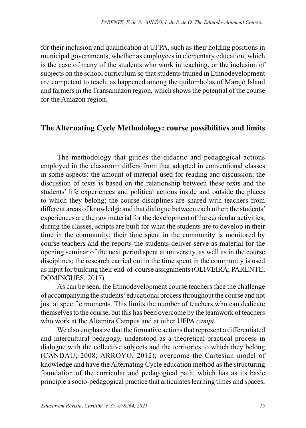for their inclusion and qualification at UFPA, such as their holding positions in municipal governments, whether as employees in elementary education, which is the case of many of the students who work in teaching, or the inclusion of subjects on the school curriculum so that students trained in Ethnodevelopment are competent to teach, as happened among the quilombolas of Marajó Island and farmers in the Transamazon region, which shows the potential of the course for the Amazon region.

## **The Alternating Cycle Methodology: course possibilities and limits**

The methodology that guides the didactic and pedagogical actions employed in the classroom differs from that adopted in conventional classes in some aspects: the amount of material used for reading and discussion; the discussion of texts is based on the relationship between these texts and the students' life experiences and political actions inside and outside the places to which they belong; the course disciplines are shared with teachers from different areas of knowledge and that dialogue between each other; the students' experiences are the raw material for the development of the curricular activities; during the classes, scripts are built for what the students are to develop in their time in the community; their time spent in the community is monitored by course teachers and the reports the students deliver serve as material for the opening seminar of the next period spent at university, as well as in the course disciplines; the research carried out in the time spent in the community is used as input for building their end-of-course assignments (OLIVEIRA; PARENTE; DOMINGUES, 2017).

As can be seen, the Ethnodevelopment course teachers face the challenge of accompanying the students' educational process throughout the course and not just at specific moments. This limits the number of teachers who can dedicate themselves to the course, but this has been overcome by the teamwork of teachers who work at the Altamira Campus and at other UFPA *campi*.

We also emphasize that the formative actions that represent a differentiated and intercultural pedagogy, understood as a theoretical-practical process in dialogue with the collective subjects and the territories to which they belong (CANDAU, 2008; ARROYO, 2012), overcome the Cartesian model of knowledge and have the Alternating Cycle education method as the structuring foundation of the curricular and pedagogical path, which has as its basic principle a socio-pedagogical practice that articulates learning times and spaces,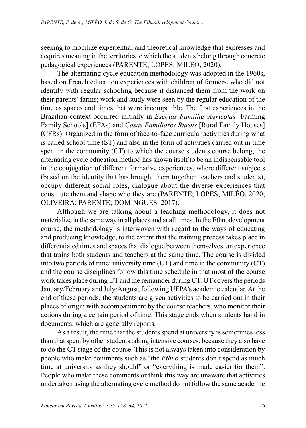seeking to mobilize experiential and theoretical knowledge that expresses and acquires meaning in the territories to which the students belong through concrete pedagogical experiences (PARENTE; LOPES; MILÉO, 2020).

The alternating cycle education methodology was adopted in the 1960s, based on French education experiences with children of farmers, who did not identify with regular schooling because it distanced them from the work on their parents' farms; work and study were seen by the regular education of the time as spaces and times that were incompatible. The first experiences in the Brazilian context occurred initially in *Escolas Famílias Agrícolas* [Farming Family Schools] (EFAs) and *Casas Familiares Rurais* [Rural Family Houses] (CFRs). Organized in the form of face-to-face curricular activities during what is called school time (ST) and also in the form of activities carried out in time spent in the community (CT) to which the course students course belong, the alternating cycle education method has shown itself to be an indispensable tool in the conjugation of different formative experiences, where different subjects (based on the identity that has brought them together, teachers and students), occupy different social roles, dialogue about the diverse experiences that constitute them and shape who they are (PARENTE; LOPES; MILÉO, 2020; OLIVEIRA; PARENTE; DOMINGUES, 2017).

Although we are talking about a teaching methodology, it does not materialize in the same way in all places and at all times. In the Ethnodevelopment course, the methodology is interwoven with regard to the ways of educating and producing knowledge, to the extent that the training process takes place in differentiated times and spaces that dialogue between themselves; an experience that trains both students and teachers at the same time. The course is divided into two periods of time: university time (UT) and time in the community (CT) and the course disciplines follow this time schedule in that most of the course work takes place during UT and the remainder during CT. UT covers the periods January/February and July/August, following UFPA's academic calendar. At the end of these periods, the students are given activities to be carried out in their places of origin with accompaniment by the course teachers, who monitor their actions during a certain period of time. This stage ends when students hand in documents, which are generally reports.

As a result, the time that the students spend at university is sometimes less than that spent by other students taking intensive courses, because they also have to do the CT stage of the course. This is not always taken into consideration by people who make comments such as "the *Ethno* students don't spend as much time at university as they should" or "everything is made easier for them". People who make these comments or think this way are unaware that activities undertaken using the alternating cycle method do not follow the same academic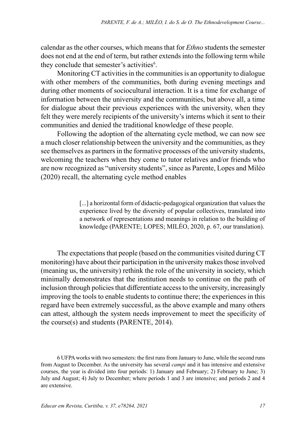calendar as the other courses, which means that for *Ethno* students the semester does not end at the end of term, but rather extends into the following term while they conclude that semester's activities<sup>6</sup>.

Monitoring CT activities in the communities is an opportunity to dialogue with other members of the communities, both during evening meetings and during other moments of sociocultural interaction. It is a time for exchange of information between the university and the communities, but above all, a time for dialogue about their previous experiences with the university, when they felt they were merely recipients of the university's interns which it sent to their communities and denied the traditional knowledge of these people.

Following the adoption of the alternating cycle method, we can now see a much closer relationship between the university and the communities, as they see themselves as partners in the formative processes of the university students, welcoming the teachers when they come to tutor relatives and/or friends who are now recognized as "university students", since as Parente, Lopes and Miléo (2020) recall, the alternating cycle method enables

> [...] a horizontal form of didactic-pedagogical organization that values the experience lived by the diversity of popular collectives, translated into a network of representations and meanings in relation to the building of knowledge (PARENTE; LOPES; MILÉO, 2020, p. 67, our translation).

The expectations that people (based on the communities visited during CT monitoring) have about their participation in the university makes those involved (meaning us, the university) rethink the role of the university in society, which minimally demonstrates that the institution needs to continue on the path of inclusion through policies that differentiate access to the university, increasingly improving the tools to enable students to continue there; the experiences in this regard have been extremely successful, as the above example and many others can attest, although the system needs improvement to meet the specificity of the course(s) and students (PARENTE, 2014).

6 UFPA works with two semesters: the first runs from January to June, while the second runs from August to December. As the university has several *campi* and it has intensive and extensive courses, the year is divided into four periods: 1) January and February; 2) February to June; 3) July and August; 4) July to December; where periods 1 and 3 are intensive; and periods 2 and 4 are extensive.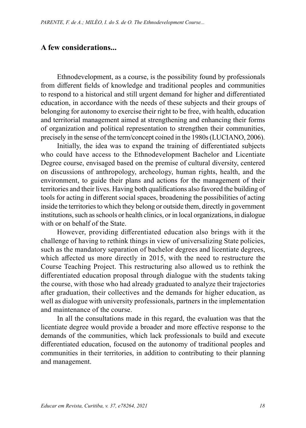#### **A few considerations...**

Ethnodevelopment, as a course, is the possibility found by professionals from different fields of knowledge and traditional peoples and communities to respond to a historical and still urgent demand for higher and differentiated education, in accordance with the needs of these subjects and their groups of belonging for autonomy to exercise their right to be free, with health, education and territorial management aimed at strengthening and enhancing their forms of organization and political representation to strengthen their communities, precisely in the sense of the term/concept coined in the 1980s (LUCIANO, 2006).

Initially, the idea was to expand the training of differentiated subjects who could have access to the Ethnodevelopment Bachelor and Licentiate Degree course, envisaged based on the premise of cultural diversity, centered on discussions of anthropology, archeology, human rights, health, and the environment, to guide their plans and actions for the management of their territories and their lives. Having both qualifications also favored the building of tools for acting in different social spaces, broadening the possibilities of acting inside the territories to which they belong or outside them, directly in government institutions, such as schools or health clinics, or in local organizations, in dialogue with or on behalf of the State.

However, providing differentiated education also brings with it the challenge of having to rethink things in view of universalizing State policies, such as the mandatory separation of bachelor degrees and licentiate degrees, which affected us more directly in 2015, with the need to restructure the Course Teaching Project. This restructuring also allowed us to rethink the differentiated education proposal through dialogue with the students taking the course, with those who had already graduated to analyze their trajectories after graduation, their collectives and the demands for higher education, as well as dialogue with university professionals, partners in the implementation and maintenance of the course.

In all the consultations made in this regard, the evaluation was that the licentiate degree would provide a broader and more effective response to the demands of the communities, which lack professionals to build and execute differentiated education, focused on the autonomy of traditional peoples and communities in their territories, in addition to contributing to their planning and management.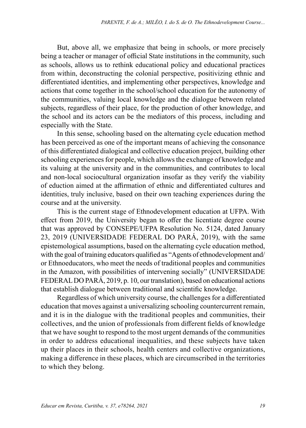But, above all, we emphasize that being in schools, or more precisely being a teacher or manager of official State institutions in the community, such as schools, allows us to rethink educational policy and educational practices from within, deconstructing the colonial perspective, positivizing ethnic and differentiated identities, and implementing other perspectives, knowledge and actions that come together in the school/school education for the autonomy of the communities, valuing local knowledge and the dialogue between related subjects, regardless of their place, for the production of other knowledge, and the school and its actors can be the mediators of this process, including and especially with the State.

In this sense, schooling based on the alternating cycle education method has been perceived as one of the important means of achieving the consonance of this differentiated dialogical and collective education project, building other schooling experiences for people, which allows the exchange of knowledge and its valuing at the university and in the communities, and contributes to local and non-local sociocultural organization insofar as they verify the viability of eduction aimed at the affirmation of ethnic and differentiated cultures and identities, truly inclusive, based on their own teaching experiences during the course and at the university.

This is the current stage of Ethnodevelopment education at UFPA. With effect from 2019, the University began to offer the licentiate degree course that was approved by CONSEPE/UFPA Resolution No. 5124, dated January 23, 2019 (UNIVERSIDADE FEDERAL DO PARÁ, 2019), with the same epistemological assumptions, based on the alternating cycle education method, with the goal of training educators qualified as "Agents of ethnodevelopment and/ or Ethnoeducators, who meet the needs of traditional peoples and communities in the Amazon, with possibilities of intervening socially" (UNIVERSIDADE FEDERAL DO PARÁ, 2019, p. 10, our translation), based on educational actions that establish dialogue between traditional and scientific knowledge.

Regardless of which university course, the challenges for a differentiated education that moves against a universalizing schooling countercurrent remain, and it is in the dialogue with the traditional peoples and communities, their collectives, and the union of professionals from different fields of knowledge that we have sought to respond to the most urgent demands of the communities in order to address educational inequalities, and these subjects have taken up their places in their schools, health centers and collective organizations, making a difference in these places, which are circumscribed in the territories to which they belong.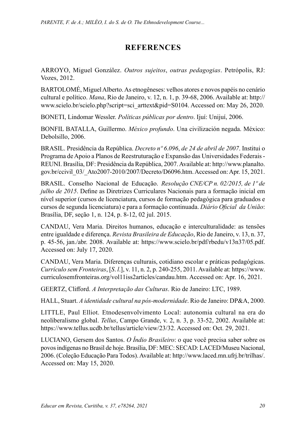# **REFERENCES**

ARROYO, Miguel González. *Outros sujeitos*, *outras pedagogias*. Petrópolis, RJ: Vozes, 2012.

BARTOLOMÉ, Miguel Alberto. As etnogêneses: velhos atores e novos papéis no cenário cultural e político. *Mana*, Rio de Janeiro, v. 12, n. 1, p. 39-68, 2006. Available at: [http://](http://www.scielo.br/scielo.php?script=sci_arttext&pid=S0104) [www.scielo.br/scielo.php?script=sci\\_arttext&pid=S0104.](http://www.scielo.br/scielo.php?script=sci_arttext&pid=S0104) Accessed on: May 26, 2020.

BONETI, Lindomar Wessler. *Políticas públicas por dentro*. Ijuí: Unijuí, 2006.

BONFIL BATALLA, Guillermo. *México profundo*. Una civilización negada. México: Debolsillo, 2006.

BRASIL. Presidência da República. *Decreto nº 6*.*096*, *[de 24 de abril de 2007](http://legislacao.planalto.gov.br/legisla/legislacao.nsf/Viw_Identificacao/DEC 6.096-2007?OpenDocument)*. Institui o Programa de Apoio a Planos de Reestruturação e Expansão das Universidades Federais - REUNI. Brasília, DF: Presidência da República, 2007. Available at: [http://www.planalto.](http://www.planalto.gov.br/ccivil_03/_Ato2007-2010/2007/Decreto/D6096.htm) [gov.br/ccivil\\_03/\\_Ato2007-2010/2007/Decreto/D6096.htm](http://www.planalto.gov.br/ccivil_03/_Ato2007-2010/2007/Decreto/D6096.htm). Accessed on: Apr. 15, 2021.

BRASIL. Conselho Nacional de Educação. *Resolução CNE/CP n. 02/2015, de 1º de julho de 2015*. Define as Diretrizes Curriculares Nacionais para a formação inicial em nível superior (cursos de licenciatura, cursos de formação pedagógica para graduados e cursos de segunda licenciatura) e para a formação continuada. *Diário Oficial da União*: Brasília, DF, seção 1, n. 124, p. 8-12, 02 jul. 2015.

CANDAU, Vera Maria. Direitos humanos, educação e interculturalidade: as tensões entre igualdade e diferença. *Revista Brasileira de Educação*, Rio de Janeiro, v. 13, n. 37, p. 45-56, jan./abr. 2008. Available at: <https://www.scielo.br/pdf/rbedu/v13n37/05.pdf>. Accessed on: July 17, 2020.

CANDAU, Vera Maria. Diferenças culturais, cotidiano escolar e práticas pedagógicas. *Currículo sem Fronteiras*, [*S*. *l*.], v. 11, n. 2, p. 240-255, 2011. Available at: [https://www.](https://www.curriculosemfronteiras.org/vol11iss2articles/candau.htm) [curriculosemfronteiras.org/vol11iss2articles/candau.htm](https://www.curriculosemfronteiras.org/vol11iss2articles/candau.htm). Accessed on: Apr. 16, 2021.

GEERTZ, Clifford. *A Interpretação das Culturas*. Rio de Janeiro: LTC, 1989.

HALL, Stuart. *A identidade cultural na pós-modernidade*. Rio de Janeiro: DP&A, 2000.

LITTLE, Paul Elliot. Etnodesenvolvimento Local: autonomia cultural na era do neoliberalismo global. *Tellus*, Campo Grande, v. 2, n. 3, p. 33-52, 2002. Available at: https://www.tellus.ucdb.br/tellus/article/view/23/32. Accessed on: Oct. 29, 2021.

LUCIANO, Gersem dos Santos. *O Índio Brasileiro*: o que você precisa saber sobre os povos indígenas no Brasil de hoje. Brasília, DF: MEC: SECAD: LACED/Museu Nacional, 2006. (Coleção Educação Para Todos). Available at:<http://www.laced.mn.ufrj.br/trilhas/>. Accessed on: May 15, 2020.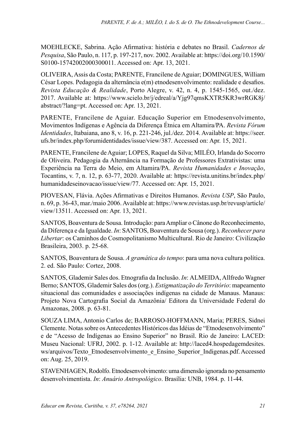MOEHLECKE, Sabrina. Ação Afirmativa: história e debates no Brasil. *Cadernos de Pesquisa*, São Paulo, n. 117, p. 197-217, nov. 2002. Available at: [https://doi.org/10.1590/](https://doi.org/10.1590/S0100-15742002000300011) [S0100-15742002000300011](https://doi.org/10.1590/S0100-15742002000300011). Accessed on: Apr. 13, 2021.

OLIVEIRA, Assis da Costa; PARENTE, Francilene de Aguiar; DOMINGUES, William César Lopes. Pedagogia da alternância e(m) etnodesenvolvimento: realidade e desafios. *Revista Educação & Realidade*, Porto Alegre, v. 42, n. 4, p. 1545-1565, out./dez. 2017. Available at: [https://www.scielo.br/j/edreal/a/Yjg97qmsKXTR5KR3wrRGK8j/](https://www.scielo.br/j/edreal/a/Yjg97qmsKXTR5KR3wrRGK8j/abstract/?lang=pt) [abstract/?lang=pt.](https://www.scielo.br/j/edreal/a/Yjg97qmsKXTR5KR3wrRGK8j/abstract/?lang=pt) Accessed on: Apr. 13, 2021.

PARENTE, Francilene de Aguiar. Educação Superior em Etnodesenvolvimento, Movimentos Indígenas e Agência da Diferença Étnica em Altamira/PA. *Revista Fórum Identidades*, Itabaiana, ano 8, v. 16, p. 221-246, jul./dez. 2014. Available at: [https://seer.](https://seer.ufs.br/index.php/forumidentidades/issue/view/387) [ufs.br/index.php/forumidentidades/issue/view/387.](https://seer.ufs.br/index.php/forumidentidades/issue/view/387) Accessed on: Apr. 15, 2021.

PARENTE, Francilene de Aguiar; LOPES, Raquel da Silva; MILÉO, Irlanda do Socorro de Oliveira. Pedagogia da Alternância na Formação de Professores Extrativistas: uma Experiência na Terra do Meio, em Altamira/PA. *Revista Humanidades e Inovação*, Tocantins, v. 7, n. 12, p. 63-77, 2020. Available at: [https://revista.unitins.br/index.php/](https://revista.unitins.br/index.php/humanidadeseinovacao/issue/view/77) [humanidadeseinovacao/issue/view/77](https://revista.unitins.br/index.php/humanidadeseinovacao/issue/view/77). Accessed on: Apr. 15, 2021.

PIOVESAN, Flávia. Ações Afirmativas e Direitos Humanos. *Revista USP*, São Paulo, n. 69, p. 36-43, mar./maio 2006. Available at: [https://www.revistas.usp.br/revusp/article/](https://www.revistas.usp.br/revusp/article/view/13511) [view/13511](https://www.revistas.usp.br/revusp/article/view/13511). Accessed on: Apr. 13, 2021.

SANTOS, Boaventura de Sousa. Introdução: para Ampliar o Cânone do Reconhecimento, da Diferença e da Igualdade. *In*: SANTOS, Boaventura de Sousa (org.). *Reconhecer para Libertar*: os Caminhos do Cosmopolitanismo Multicultural. Rio de Janeiro: Civilização Brasileira, 2003. p. 25-68.

SANTOS, Boaventura de Sousa. *A gramática do tempo*: para uma nova cultura política. 2. ed. São Paulo: Cortez, 2008.

SANTOS, Glademir Sales dos. Etnografia da Inclusão. *In*: ALMEIDA, Allfredo Wagner Berno; SANTOS, Glademir Sales dos (org.). *Estigmatização do Território*: mapeamento situacional das comunidades e associações indígenas na cidade de Manaus. Manaus: Projeto Nova Cartografia Social da Amazônia/ Editora da Universidade Federal do Amazonas, 2008. p. 63-81.

SOUZA LIMA, Antonio Carlos de; BARROSO-HOFFMANN, Maria; PERES, Sidnei Clemente. Notas sobre os Antecedentes Históricos das Idéias de "Etnodesenvolvimento" e de "Acesso de Indígenas ao Ensino Superior" no Brasil. Rio de Janeiro: LACED: Museu Nacional: UFRJ, 2002. p. 1-12. Available at: [http://laced4.hospedagemdesites.](http://laced4.hospedagemdesites.ws/arquivos/Texto_Etnodesenvolvimento_e_Ensino_Superior_Indigenas.pdf) [ws/arquivos/Texto\\_Etnodesenvolvimento\\_e\\_Ensino\\_Superior\\_Indigenas.pdf](http://laced4.hospedagemdesites.ws/arquivos/Texto_Etnodesenvolvimento_e_Ensino_Superior_Indigenas.pdf). Accessed on: Aug. 25, 2019.

STAVENHAGEN, Rodolfo. Etnodesenvolvimento: uma dimensão ignorada no pensamento desenvolvimentista. *In*: *Anuário Antropológico*. Brasília: UNB, 1984. p. 11-44.